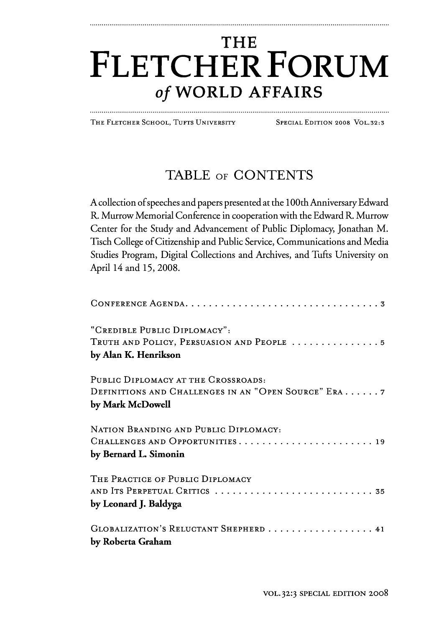## **THE FLETCHER FORUM of WORLD AFFAIRS**

THE FLETCHER SCHOOL, TUFTS UNIVERSITY SPECIAL EDITION 2008 VOL.32:3

## TABLE OF CONTENTS

A collection of speeches and papers presented at the 100th Anniversary Edward R. Murrow Memorial Conference in cooperation with the Edward R. Murrow Center for the Study and Advancement of Public Diplomacy, Jonathan M. Tisch College of Citizenship and Public Service, Communications and Media Studies Program, Digital Collections and Archives, and Tufts University on April 14 and 15, 2008.

| "CREDIBLE PUBLIC DIPLOMACY":                        |
|-----------------------------------------------------|
| TRUTH AND POLICY, PERSUASION AND PEOPLE 5           |
| by Alan K. Henrikson                                |
| PUBLIC DIPLOMACY AT THE CROSSROADS:                 |
| DEFINITIONS AND CHALLENGES IN AN "OPEN SOURCE" ERA7 |
| by Mark McDowell                                    |
| NATION BRANDING AND PUBLIC DIPLOMACY:               |
|                                                     |
| by Bernard L. Simonin                               |
| THE PRACTICE OF PUBLIC DIPLOMACY                    |
|                                                     |
| by Leonard J. Baldyga                               |
| GLOBALIZATION'S RELUCTANT SHEPHERD  41              |
| by Roberta Graham                                   |